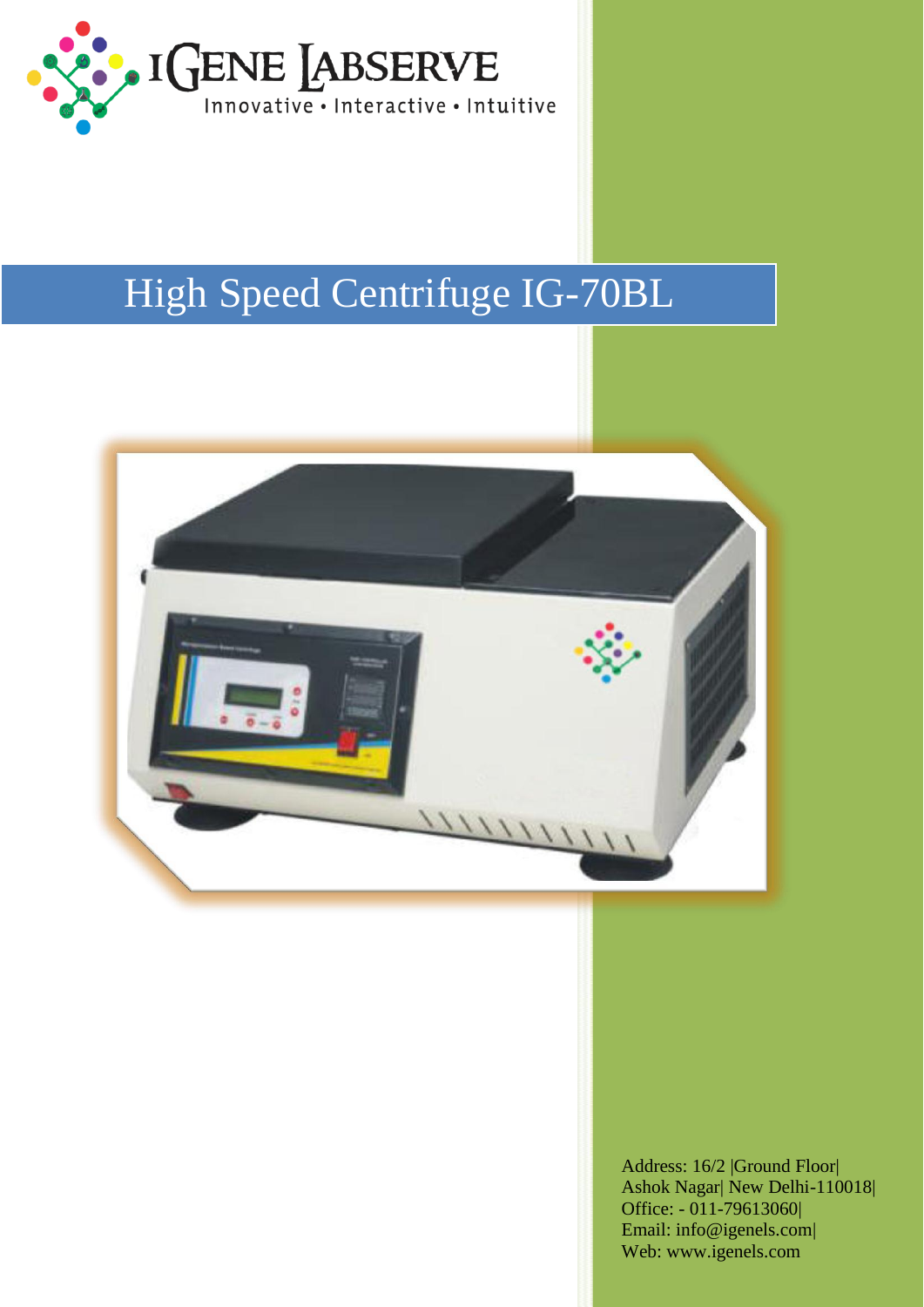

## High Speed Centrifuge IG-70BL



Address: 16/2 |Ground Floor| Ashok Nagar| New Delhi-110018| Office: - 011-79613060| [Email: info@igenels.com|](mailto:info@igenels.com)  Web: [www.igenels.com](http://www.igenels.com/)